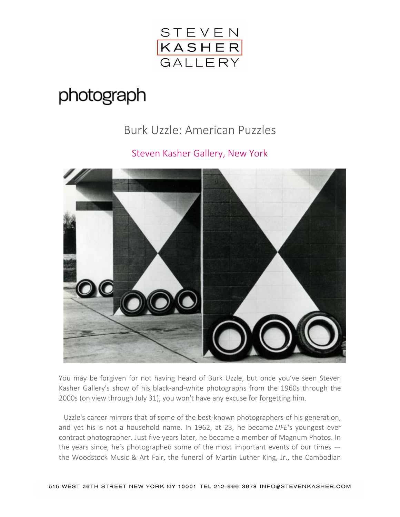

## photograph

## Burk Uzzle: American Puzzles

## Steven Kasher Gallery, New York



You may be forgiven for not having heard of Burk Uzzle, but once you've seen [Steven](http://www.stevenkasher.com/)  [Kasher Gallery'](http://www.stevenkasher.com/)s show of his black-and-white photographs from the 1960s through the 2000s (on view through July 31), you won't have any excuse for forgetting him.

Uzzle's career mirrors that of some of the best-known photographers of his generation, and yet his is not a household name. In 1962, at 23, he became *LIFE*'s youngest ever contract photographer. Just five years later, he became a member of Magnum Photos. In the years since, he's photographed some of the most important events of our times the Woodstock Music & Art Fair, the funeral of Martin Luther King, Jr., the Cambodian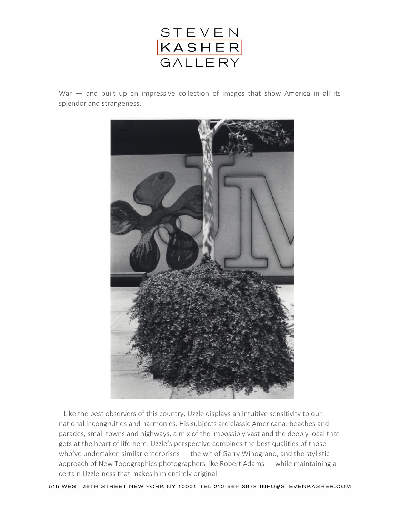

War – and built up an impressive collection of images that show America in all its splendor and strangeness.



Like the best observers of this country, Uzzle displays an intuitive sensitivity to our national incongruities and harmonies. His subjects are classic Americana: beaches and parades, small towns and highways, a mix of the impossibly vast and the deeply local that gets at the heart of life here. Uzzle's perspective combines the best qualities of those who've undertaken similar enterprises — the wit of Garry Winogrand, and the stylistic approach of New Topographics photographers like Robert Adams — while maintaining a certain Uzzle-ness that makes him entirely original.